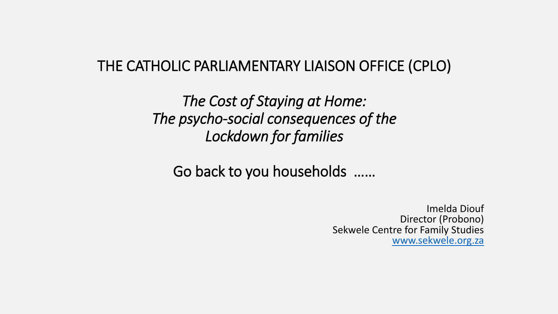#### THE CATHOLIC PARLIAMENTARY LIAISON OFFICE (CPLO)

*The Cost of Staying at Home: The psycho-social consequences of the Lockdown for families*

Go back to you households ……

Imelda Diouf Director (Probono) Sekwele Centre for Family Studies [www.sekwele.org.za](http://www.sekwele.org.za/)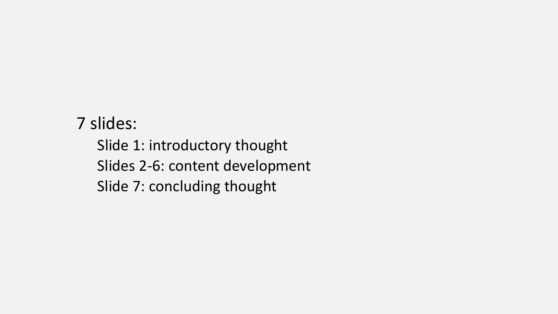# 7 slides:

Slide 1: introductory thought Slides 2-6: content development Slide 7: concluding thought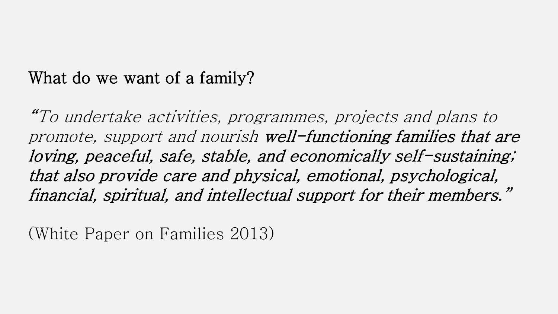## What do we want of a family?

"To undertake activities, programmes, projects and plans to promote, support and nourish well-functioning families that are loving, peaceful, safe, stable, and economically self-sustaining; that also provide care and physical, emotional, psychological, financial, spiritual, and intellectual support for their members."

(White Paper on Families 2013)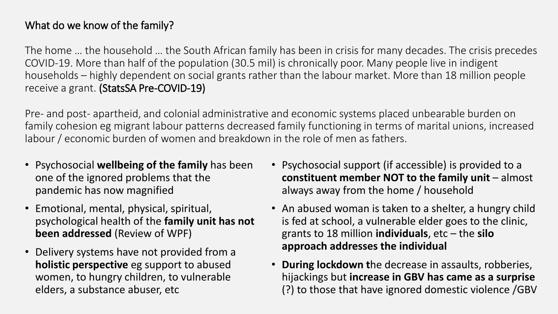#### What do we know of the family?

The home … the household … the South African family has been in crisis for many decades. The crisis precedes COVID-19. More than half of the population (30.5 mil) is chronically poor. Many people live in indigent households – highly dependent on social grants rather than the labour market. More than 18 million people receive a grant. (StatsSA Pre-COVID-19)

Pre- and post- apartheid, and colonial administrative and economic systems placed unbearable burden on family cohesion eg migrant labour patterns decreased family functioning in terms of marital unions, increased labour / economic burden of women and breakdown in the role of men as fathers.

- Psychosocial **wellbeing of the family** has been one of the ignored problems that the pandemic has now magnified
- Emotional, mental, physical, spiritual, psychological health of the **family unit has not been addressed** (Review of WPF)
- Delivery systems have not provided from a **holistic perspective** eg support to abused women, to hungry children, to vulnerable elders, a substance abuser, etc
- Psychosocial support (if accessible) is provided to a **constituent member NOT to the family unit** – almost always away from the home / household
- An abused woman is taken to a shelter, a hungry child is fed at school, a vulnerable elder goes to the clinic, grants to 18 million **individuals**, etc – the **silo approach addresses the individual**
- **During lockdown t**he decrease in assaults, robberies, hijackings but **increase in GBV has came as a surprise**  (?) to those that have ignored domestic violence /GBV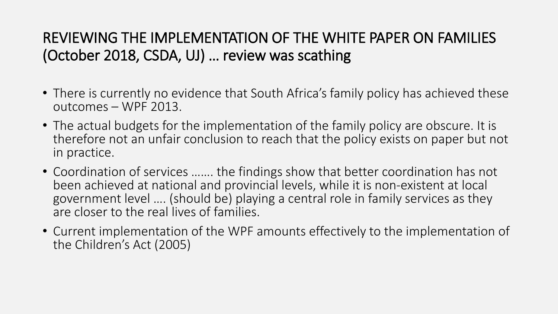### REVIEWING THE IMPLEMENTATION OF THE WHITE PAPER ON FAMILIES (October 2018, CSDA, UJ) … review was scathing

- There is currently no evidence that South Africa's family policy has achieved these outcomes – WPF 2013.
- The actual budgets for the implementation of the family policy are obscure. It is therefore not an unfair conclusion to reach that the policy exists on paper but not in practice.
- Coordination of services ……. the findings show that better coordination has not been achieved at national and provincial levels, while it is non-existent at local government level …. (should be) playing a central role in family services as they are closer to the real lives of families.
- Current implementation of the WPF amounts effectively to the implementation of the Children's Act (2005)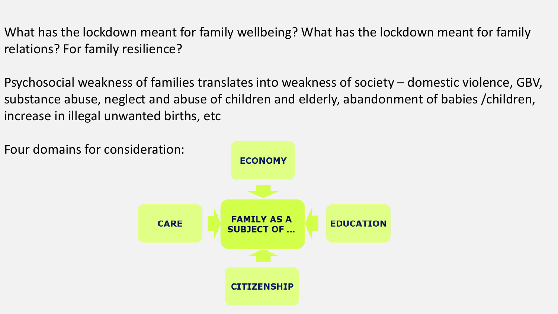What has the lockdown meant for family wellbeing? What has the lockdown meant for family relations? For family resilience?

Psychosocial weakness of families translates into weakness of society – domestic violence, GBV, substance abuse, neglect and abuse of children and elderly, abandonment of babies /children, increase in illegal unwanted births, etc

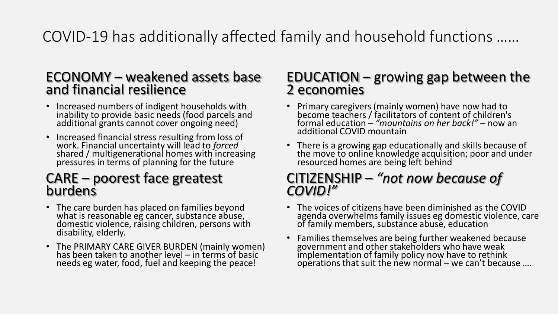# COVID-19 has additionally affected family and household functions ……

#### ECONOMY – weakened assets base and financial resilience

- Increased numbers of indigent households with inability to provide basic needs (food parcels and additional grants cannot cover ongoing need)
- Increased financial stress resulting from loss of work. Financial uncertainty will lead to *forced* shared / multigenerational homes with increasing pressures in terms of planning for the future

#### CARE – poorest face greatest burdens

- The care burden has placed on families beyond what is reasonable eg cancer, substance abuse, domestic violence, raising children, persons with disability, elderly.
- The PRIMARY CARE GIVER BURDEN (mainly women) has been taken to another level – in terms of basic needs eg water, food, fuel and keeping the peace!

#### EDUCATION – growing gap between the 2 economies

- Primary caregivers (mainly women) have now had to become teachers / facilitators of content of children's formal education – *"mountains on her back!"* – now an additional COVID mountain
- There is a growing gap educationally and skills because of the move to online knowledge acquisition; poor and under resourced homes are being left behind

#### CITIZENSHIP – *"not now because of COVID!"*

- The voices of citizens have been diminished as the COVID agenda overwhelms family issues eg domestic violence, care of family members, substance abuse, education
- Families themselves are being further weakened because government and other stakeholders who have weak implementation of family policy now have to rethink operations that suit the new normal – we can't because  $\ldots$ .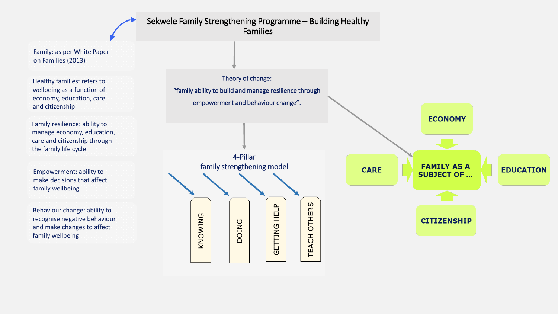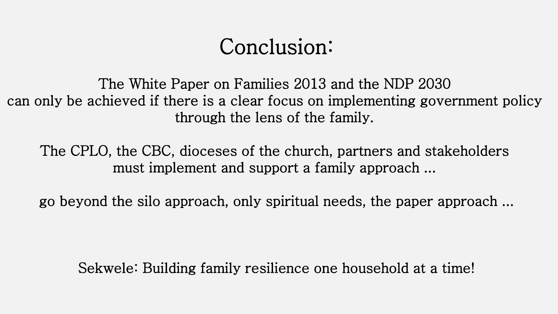# Conclusion:

The White Paper on Families 2013 and the NDP 2030 can only be achieved if there is a clear focus on implementing government policy through the lens of the family.

The CPLO, the CBC, dioceses of the church, partners and stakeholders must implement and support a family approach ...

go beyond the silo approach, only spiritual needs, the paper approach ...

Sekwele: Building family resilience one household at a time!